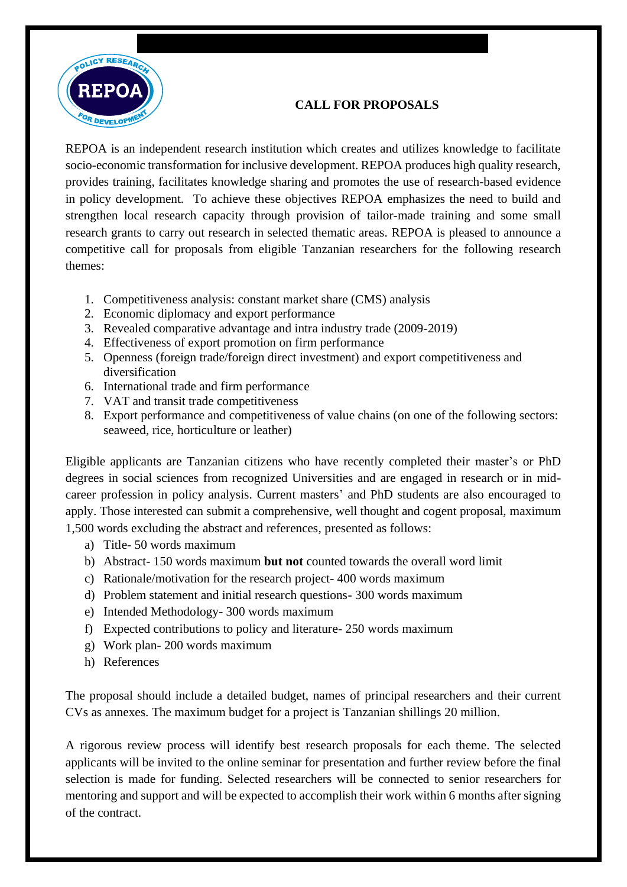

# **CALL FOR PROPOSALS**

REPOA is an independent research institution which creates and utilizes knowledge to facilitate socio-economic transformation for inclusive development. REPOA produces high quality research, provides training, facilitates knowledge sharing and promotes the use of research-based evidence in policy development. To achieve these objectives REPOA emphasizes the need to build and strengthen local research capacity through provision of tailor-made training and some small research grants to carry out research in selected thematic areas. REPOA is pleased to announce a competitive call for proposals from eligible Tanzanian researchers for the following research themes:

- 1. Competitiveness analysis: constant market share (CMS) analysis
- 2. Economic diplomacy and export performance
- 3. Revealed comparative advantage and intra industry trade (2009-2019)
- 4. Effectiveness of export promotion on firm performance
- 5. Openness (foreign trade/foreign direct investment) and export competitiveness and diversification
- 6. International trade and firm performance
- 7. VAT and transit trade competitiveness
- 8. Export performance and competitiveness of value chains (on one of the following sectors: seaweed, rice, horticulture or leather)

Eligible applicants are Tanzanian citizens who have recently completed their master's or PhD degrees in social sciences from recognized Universities and are engaged in research or in midcareer profession in policy analysis. Current masters' and PhD students are also encouraged to apply. Those interested can submit a comprehensive, well thought and cogent proposal, maximum 1,500 words excluding the abstract and references, presented as follows:

- a) Title- 50 words maximum
- b) Abstract- 150 words maximum **but not** counted towards the overall word limit
- c) Rationale/motivation for the research project- 400 words maximum
- d) Problem statement and initial research questions- 300 words maximum
- e) Intended Methodology- 300 words maximum
- f) Expected contributions to policy and literature- 250 words maximum
- g) Work plan- 200 words maximum
- h) References

The proposal should include a detailed budget, names of principal researchers and their current CVs as annexes. The maximum budget for a project is Tanzanian shillings 20 million.

A rigorous review process will identify best research proposals for each theme. The selected applicants will be invited to the online seminar for presentation and further review before the final selection is made for funding. Selected researchers will be connected to senior researchers for mentoring and support and will be expected to accomplish their work within 6 months after signing of the contract.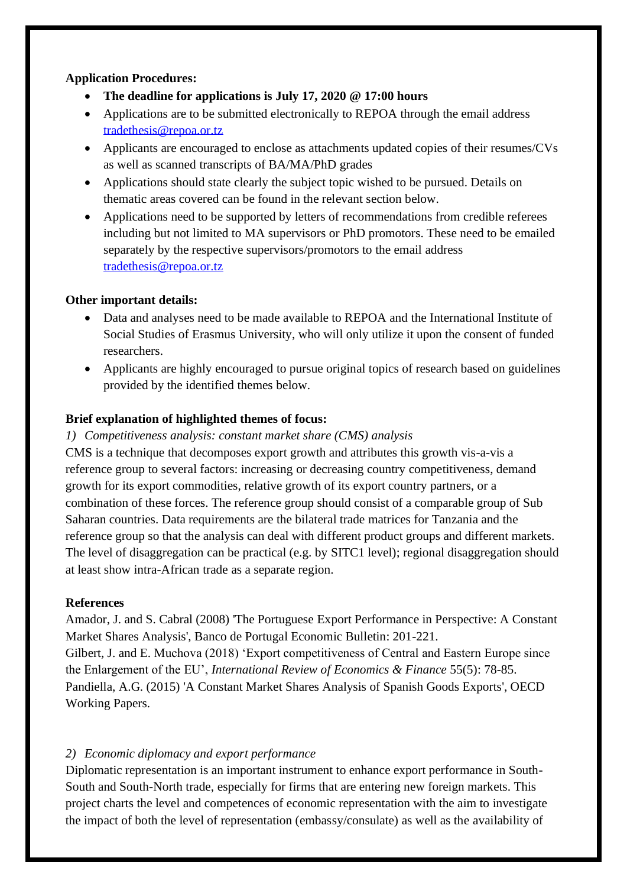## **Application Procedures:**

- **The deadline for applications is July 17, 2020 @ 17:00 hours**
- Applications are to be submitted electronically to REPOA through the email address [tradethesis@repoa.or.tz](mailto:tradethesis@repoa.or.tz)
- Applicants are encouraged to enclose as attachments updated copies of their resumes/CVs as well as scanned transcripts of BA/MA/PhD grades
- Applications should state clearly the subject topic wished to be pursued. Details on thematic areas covered can be found in the relevant section below.
- Applications need to be supported by letters of recommendations from credible referees including but not limited to MA supervisors or PhD promotors. These need to be emailed separately by the respective supervisors/promotors to the email address [tradethesis@repoa.or.tz](mailto:tradethesis@repoa.or.tz)

# **Other important details:**

- Data and analyses need to be made available to REPOA and the International Institute of Social Studies of Erasmus University, who will only utilize it upon the consent of funded researchers.
- Applicants are highly encouraged to pursue original topics of research based on guidelines provided by the identified themes below.

# **Brief explanation of highlighted themes of focus:**

### *1) Competitiveness analysis: constant market share (CMS) analysis*

CMS is a technique that decomposes export growth and attributes this growth vis-a-vis a reference group to several factors: increasing or decreasing country competitiveness, demand growth for its export commodities, relative growth of its export country partners, or a combination of these forces. The reference group should consist of a comparable group of Sub Saharan countries. Data requirements are the bilateral trade matrices for Tanzania and the reference group so that the analysis can deal with different product groups and different markets. The level of disaggregation can be practical (e.g. by SITC1 level); regional disaggregation should at least show intra-African trade as a separate region.

### **References**

Amador, J. and S. Cabral (2008) 'The Portuguese Export Performance in Perspective: A Constant Market Shares Analysis', Banco de Portugal Economic Bulletin: 201-221.

Gilbert, J. and E. Muchova (2018) 'Export competitiveness of Central and Eastern Europe since the Enlargement of the EU', *International Review of Economics & Finance* 55(5): 78-85. Pandiella, A.G. (2015) 'A Constant Market Shares Analysis of Spanish Goods Exports', OECD Working Papers.

# *2) Economic diplomacy and export performance*

Diplomatic representation is an important instrument to enhance export performance in South-South and South-North trade, especially for firms that are entering new foreign markets. This project charts the level and competences of economic representation with the aim to investigate the impact of both the level of representation (embassy/consulate) as well as the availability of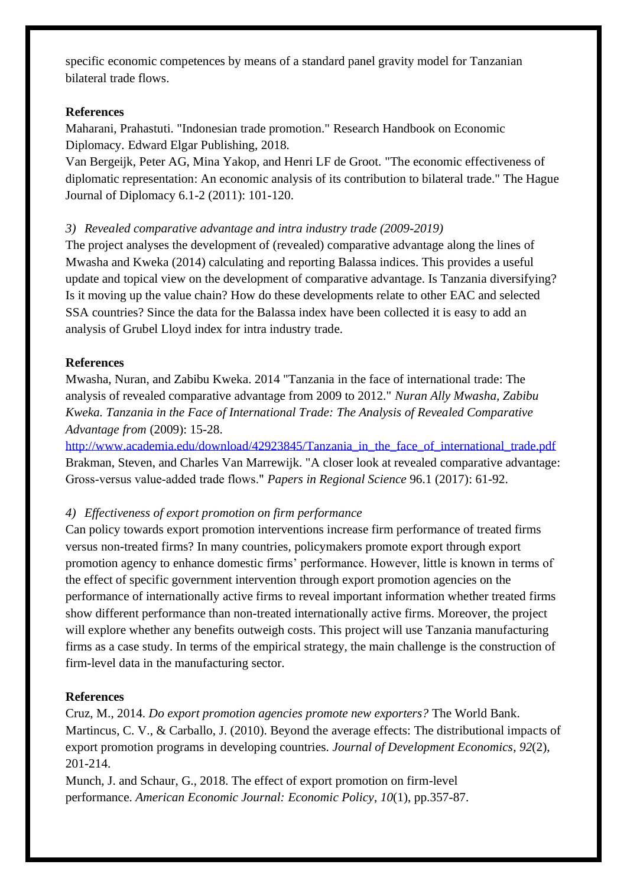specific economic competences by means of a standard panel gravity model for Tanzanian bilateral trade flows.

#### **References**

Maharani, Prahastuti. "Indonesian trade promotion." Research Handbook on Economic Diplomacy. Edward Elgar Publishing, 2018.

Van Bergeijk, Peter AG, Mina Yakop, and Henri LF de Groot. "The economic effectiveness of diplomatic representation: An economic analysis of its contribution to bilateral trade." The Hague Journal of Diplomacy 6.1-2 (2011): 101-120.

#### *3) Revealed comparative advantage and intra industry trade (2009-2019)*

The project analyses the development of (revealed) comparative advantage along the lines of Mwasha and Kweka (2014) calculating and reporting Balassa indices. This provides a useful update and topical view on the development of comparative advantage. Is Tanzania diversifying? Is it moving up the value chain? How do these developments relate to other EAC and selected SSA countries? Since the data for the Balassa index have been collected it is easy to add an analysis of Grubel Lloyd index for intra industry trade.

#### **References**

Mwasha, Nuran, and Zabibu Kweka. 2014 "Tanzania in the face of international trade: The analysis of revealed comparative advantage from 2009 to 2012." *Nuran Ally Mwasha, Zabibu Kweka. Tanzania in the Face of International Trade: The Analysis of Revealed Comparative Advantage from* (2009): 15-28.

[http://www.academia.edu/download/42923845/Tanzania\\_in\\_the\\_face\\_of\\_international\\_trade.pdf](http://www.academia.edu/download/42923845/Tanzania_in_the_face_of_international_trade.pdf) Brakman, Steven, and Charles Van Marrewijk. "A closer look at revealed comparative advantage: Gross‐versus value‐added trade flows." *Papers in Regional Science* 96.1 (2017): 61-92.

### *4) Effectiveness of export promotion on firm performance*

Can policy towards export promotion interventions increase firm performance of treated firms versus non-treated firms? In many countries, policymakers promote export through export promotion agency to enhance domestic firms' performance. However, little is known in terms of the effect of specific government intervention through export promotion agencies on the performance of internationally active firms to reveal important information whether treated firms show different performance than non-treated internationally active firms. Moreover, the project will explore whether any benefits outweigh costs. This project will use Tanzania manufacturing firms as a case study. In terms of the empirical strategy, the main challenge is the construction of firm-level data in the manufacturing sector.

#### **References**

Cruz, M., 2014. *Do export promotion agencies promote new exporters?* The World Bank. Martincus, C. V., & Carballo, J. (2010). Beyond the average effects: The distributional impacts of export promotion programs in developing countries. *Journal of Development Economics*, *92*(2), 201-214.

Munch, J. and Schaur, G., 2018. The effect of export promotion on firm-level performance. *American Economic Journal: Economic Policy*, *10*(1), pp.357-87.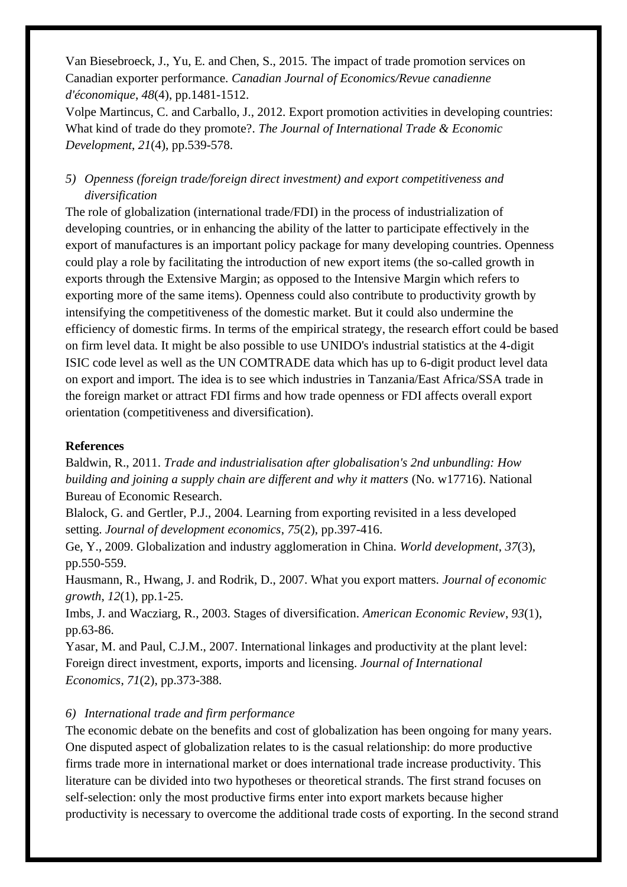Van Biesebroeck, J., Yu, E. and Chen, S., 2015. The impact of trade promotion services on Canadian exporter performance. *Canadian Journal of Economics/Revue canadienne d'économique*, *48*(4), pp.1481-1512.

Volpe Martincus, C. and Carballo, J., 2012. Export promotion activities in developing countries: What kind of trade do they promote?. *The Journal of International Trade & Economic Development*, *21*(4), pp.539-578.

# *5) Openness (foreign trade/foreign direct investment) and export competitiveness and diversification*

The role of globalization (international trade/FDI) in the process of industrialization of developing countries, or in enhancing the ability of the latter to participate effectively in the export of manufactures is an important policy package for many developing countries. Openness could play a role by facilitating the introduction of new export items (the so-called growth in exports through the Extensive Margin; as opposed to the Intensive Margin which refers to exporting more of the same items). Openness could also contribute to productivity growth by intensifying the competitiveness of the domestic market. But it could also undermine the efficiency of domestic firms. In terms of the empirical strategy, the research effort could be based on firm level data. It might be also possible to use UNIDO's industrial statistics at the 4-digit ISIC code level as well as the UN COMTRADE data which has up to 6-digit product level data on export and import. The idea is to see which industries in Tanzania/East Africa/SSA trade in the foreign market or attract FDI firms and how trade openness or FDI affects overall export orientation (competitiveness and diversification).

#### **References**

Baldwin, R., 2011. *Trade and industrialisation after globalisation's 2nd unbundling: How building and joining a supply chain are different and why it matters* (No. w17716). National Bureau of Economic Research.

Blalock, G. and Gertler, P.J., 2004. Learning from exporting revisited in a less developed setting. *Journal of development economics*, *75*(2), pp.397-416.

Ge, Y., 2009. Globalization and industry agglomeration in China. *World development*, *37*(3), pp.550-559.

Hausmann, R., Hwang, J. and Rodrik, D., 2007. What you export matters. *Journal of economic growth*, *12*(1), pp.1-25.

Imbs, J. and Wacziarg, R., 2003. Stages of diversification. *American Economic Review*, *93*(1), pp.63-86.

Yasar, M. and Paul, C.J.M., 2007. International linkages and productivity at the plant level: Foreign direct investment, exports, imports and licensing. *Journal of International Economics*, *71*(2), pp.373-388.

### *6) International trade and firm performance*

The economic debate on the benefits and cost of globalization has been ongoing for many years. One disputed aspect of globalization relates to is the casual relationship: do more productive firms trade more in international market or does international trade increase productivity. This literature can be divided into two hypotheses or theoretical strands. The first strand focuses on self-selection: only the most productive firms enter into export markets because higher productivity is necessary to overcome the additional trade costs of exporting. In the second strand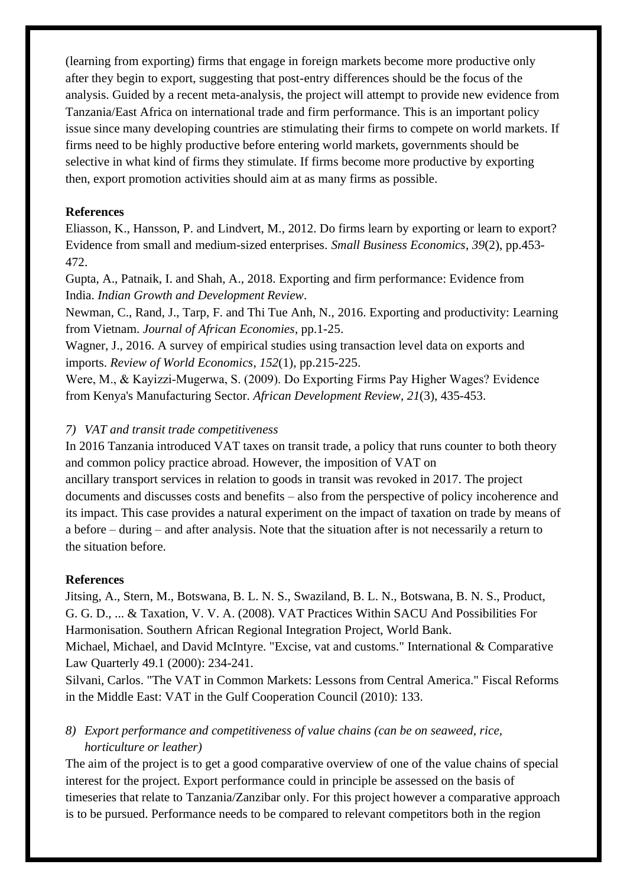(learning from exporting) firms that engage in foreign markets become more productive only after they begin to export, suggesting that post-entry differences should be the focus of the analysis. Guided by a recent meta-analysis, the project will attempt to provide new evidence from Tanzania/East Africa on international trade and firm performance. This is an important policy issue since many developing countries are stimulating their firms to compete on world markets. If firms need to be highly productive before entering world markets, governments should be selective in what kind of firms they stimulate. If firms become more productive by exporting then, export promotion activities should aim at as many firms as possible.

## **References**

Eliasson, K., Hansson, P. and Lindvert, M., 2012. Do firms learn by exporting or learn to export? Evidence from small and medium-sized enterprises. *Small Business Economics*, *39*(2), pp.453- 472.

Gupta, A., Patnaik, I. and Shah, A., 2018. Exporting and firm performance: Evidence from India. *Indian Growth and Development Review*.

Newman, C., Rand, J., Tarp, F. and Thi Tue Anh, N., 2016. Exporting and productivity: Learning from Vietnam. *Journal of African Economies*, pp.1-25.

Wagner, J., 2016. A survey of empirical studies using transaction level data on exports and imports. *Review of World Economics*, *152*(1), pp.215-225.

Were, M., & Kayizzi‐Mugerwa, S. (2009). Do Exporting Firms Pay Higher Wages? Evidence from Kenya's Manufacturing Sector. *African Development Review*, *21*(3), 435-453.

# *7) VAT and transit trade competitiveness*

In 2016 Tanzania introduced VAT taxes on transit trade, a policy that runs counter to both theory and common policy practice abroad. However, the imposition of VAT on

ancillary transport services in relation to goods in transit was revoked in 2017. The project documents and discusses costs and benefits – also from the perspective of policy incoherence and its impact. This case provides a natural experiment on the impact of taxation on trade by means of a before – during – and after analysis. Note that the situation after is not necessarily a return to the situation before.

### **References**

Jitsing, A., Stern, M., Botswana, B. L. N. S., Swaziland, B. L. N., Botswana, B. N. S., Product, G. G. D., ... & Taxation, V. V. A. (2008). VAT Practices Within SACU And Possibilities For Harmonisation. Southern African Regional Integration Project, World Bank.

Michael, Michael, and David McIntyre. "Excise, vat and customs." International & Comparative Law Quarterly 49.1 (2000): 234-241.

Silvani, Carlos. "The VAT in Common Markets: Lessons from Central America." Fiscal Reforms in the Middle East: VAT in the Gulf Cooperation Council (2010): 133.

# *8) Export performance and competitiveness of value chains (can be on seaweed, rice, horticulture or leather)*

The aim of the project is to get a good comparative overview of one of the value chains of special interest for the project. Export performance could in principle be assessed on the basis of timeseries that relate to Tanzania/Zanzibar only. For this project however a comparative approach is to be pursued. Performance needs to be compared to relevant competitors both in the region